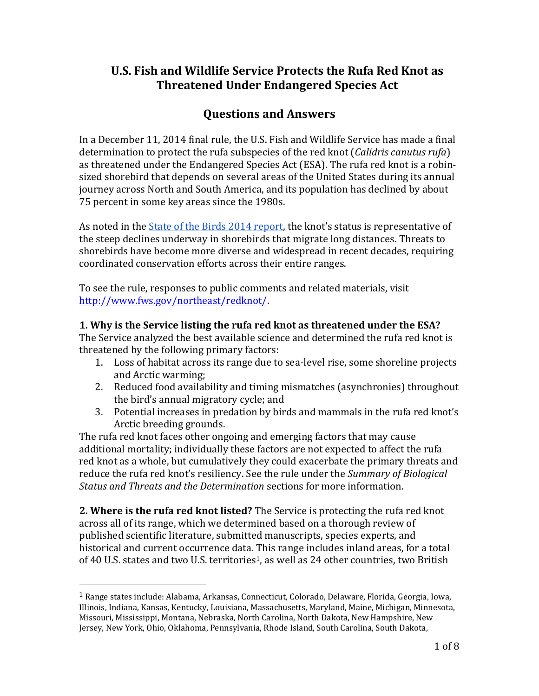# **U.S. Fish and Wildlife Service Protects the Rufa Red Knot as Threatened Under Endangered Species Act**

# **Questions and Answers**

In a December 11, 2014 final rule, the U.S. Fish and Wildlife Service has made a final determination to protect the rufa subspecies of the red knot (*Calidris canutus rufa*) as threatened under the Endangered Species Act (ESA). The rufa red knot is a robinsized shorebird that depends on several areas of the United States during its annual journey across North and South America, and its population has declined by about 75 percent in some key areas since the 1980s.

As noted in the [State of the Birds 2014 report](http://www.stateofthebirds.org/), the knot's status is representative of the steep declines underway in shorebirds that migrate long distances. Threats to shorebirds have become more diverse and widespread in recent decades, requiring coordinated conservation efforts across their entire ranges.

To see the rule, responses to public comments and related materials, visit [http://www.fws.gov/northeast/redknot/.](http://www.fws.gov/northeast/redknot/)

### **1. Why is the Service listing the rufa red knot as threatened under the ESA?**

The Service analyzed the best available science and determined the rufa red knot is threatened by the following primary factors:

- 1. Loss of habitat across its range due to sea-level rise, some shoreline projects and Arctic warming;
- 2. Reduced food availability and timing mismatches (asynchronies) throughout the bird's annual migratory cycle; and
- 3. Potential increases in predation by birds and mammals in the rufa red knot's Arctic breeding grounds.

The rufa red knot faces other ongoing and emerging factors that may cause additional mortality; individually these factors are not expected to affect the rufa red knot as a whole, but cumulatively they could exacerbate the primary threats and reduce the rufa red knot's resiliency. See the rule under the *Summary of Biological Status and Threats and the Determination* sections for more information.

**2. Where is the rufa red knot listed?** The Service is protecting the rufa red knot across all of its range, which we determined based on a thorough review of published scientific literature, submitted manuscripts, species experts, and historical and current occurrence data. This range includes inland areas, for a total of 40 U.S. states and two U.S. territories<sup>1</sup>, as well as 24 other countries, two British

l

<sup>&</sup>lt;sup>1</sup> Range states include: Alabama, Arkansas, Connecticut, Colorado, Delaware, Florida, Georgia, Iowa, Illinois, Indiana, Kansas, Kentucky, Louisiana, Massachusetts, Maryland, Maine, Michigan, Minnesota, Missouri, Mississippi, Montana, Nebraska, North Carolina, North Dakota, New Hampshire, New Jersey, New York, Ohio, Oklahoma, Pennsylvania, Rhode Island, South Carolina, South Dakota,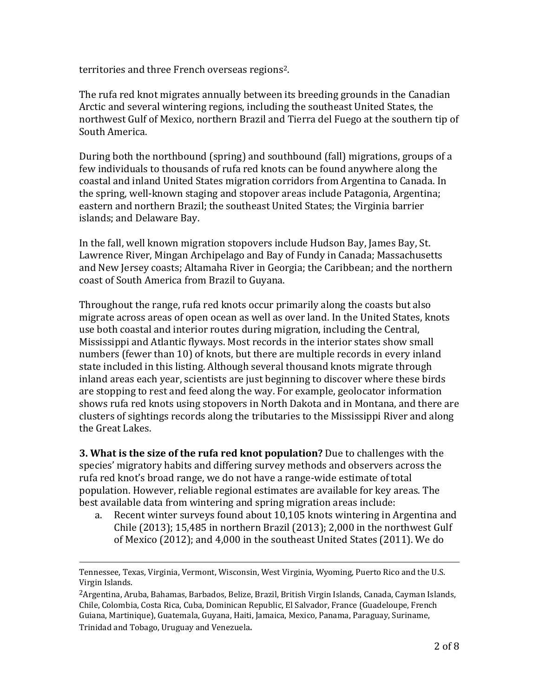territories and three French overseas regions2.

The rufa red knot migrates annually between its breeding grounds in the Canadian Arctic and several wintering regions, including the southeast United States, the northwest Gulf of Mexico, northern Brazil and Tierra del Fuego at the southern tip of South America.

During both the northbound (spring) and southbound (fall) migrations, groups of a few individuals to thousands of rufa red knots can be found anywhere along the coastal and inland United States migration corridors from Argentina to Canada. In the spring, well-known staging and stopover areas include Patagonia, Argentina; eastern and northern Brazil; the southeast United States; the Virginia barrier islands; and Delaware Bay.

In the fall, well known migration stopovers include Hudson Bay, James Bay, St. Lawrence River, Mingan Archipelago and Bay of Fundy in Canada; Massachusetts and New Jersey coasts; Altamaha River in Georgia; the Caribbean; and the northern coast of South America from Brazil to Guyana.

Throughout the range, rufa red knots occur primarily along the coasts but also migrate across areas of open ocean as well as over land. In the United States, knots use both coastal and interior routes during migration, including the Central, Mississippi and Atlantic flyways. Most records in the interior states show small numbers (fewer than 10) of knots, but there are multiple records in every inland state included in this listing. Although several thousand knots migrate through inland areas each year, scientists are just beginning to discover where these birds are stopping to rest and feed along the way. For example, geolocator information shows rufa red knots using stopovers in North Dakota and in Montana, and there are clusters of sightings records along the tributaries to the Mississippi River and along the Great Lakes.

**3. What is the size of the rufa red knot population?** Due to challenges with the species' migratory habits and differing survey methods and observers across the rufa red knot's broad range, we do not have a range-wide estimate of total population. However, reliable regional estimates are available for key areas. The best available data from wintering and spring migration areas include:

a. Recent winter surveys found about 10,105 knots wintering in Argentina and Chile (2013); 15,485 in northern Brazil (2013); 2,000 in the northwest Gulf of Mexico (2012); and 4,000 in the southeast United States (2011). We do

 $\overline{a}$ 

Tennessee, Texas, Virginia, Vermont, Wisconsin, West Virginia, Wyoming, Puerto Rico and the U.S. Virgin Islands.

<sup>2</sup>Argentina, Aruba, Bahamas, Barbados, Belize, Brazil, British Virgin Islands, Canada, Cayman Islands, Chile, Colombia, Costa Rica, Cuba, Dominican Republic, El Salvador, France (Guadeloupe, French Guiana, Martinique), Guatemala, Guyana, Haiti, Jamaica, Mexico, Panama, Paraguay, Suriname, Trinidad and Tobago, Uruguay and Venezuela.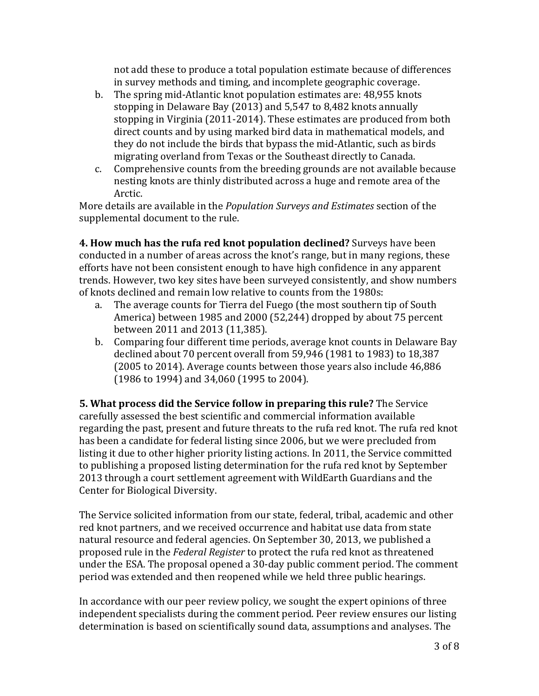not add these to produce a total population estimate because of differences in survey methods and timing, and incomplete geographic coverage.

- b. The spring mid-Atlantic knot population estimates are: 48,955 knots stopping in Delaware Bay (2013) and 5,547 to 8,482 knots annually stopping in Virginia (2011-2014). These estimates are produced from both direct counts and by using marked bird data in mathematical models, and they do not include the birds that bypass the mid-Atlantic, such as birds migrating overland from Texas or the Southeast directly to Canada.
- c. Comprehensive counts from the breeding grounds are not available because nesting knots are thinly distributed across a huge and remote area of the Arctic.

More details are available in the *Population Surveys and Estimates* section of the supplemental document to the rule.

**4. How much has the rufa red knot population declined?** Surveys have been conducted in a number of areas across the knot's range, but in many regions, these efforts have not been consistent enough to have high confidence in any apparent trends. However, two key sites have been surveyed consistently, and show numbers of knots declined and remain low relative to counts from the 1980s:

- a. The average counts for Tierra del Fuego (the most southern tip of South America) between 1985 and 2000 (52,244) dropped by about 75 percent between 2011 and 2013 (11,385).
- b. Comparing four different time periods, average knot counts in Delaware Bay declined about 70 percent overall from 59,946 (1981 to 1983) to 18,387 (2005 to 2014). Average counts between those years also include 46,886 (1986 to 1994) and 34,060 (1995 to 2004).

**5. What process did the Service follow in preparing this rule?** The Service carefully assessed the best scientific and commercial information available regarding the past, present and future threats to the rufa red knot. The rufa red knot has been a candidate for federal listing since 2006, but we were precluded from listing it due to other higher priority listing actions. In 2011, the Service committed to publishing a proposed listing determination for the rufa red knot by September 2013 through a court settlement agreement with WildEarth Guardians and the Center for Biological Diversity.

The Service solicited information from our state, federal, tribal, academic and other red knot partners, and we received occurrence and habitat use data from state natural resource and federal agencies. On September 30, 2013, we published a proposed rule in the *Federal Register* to protect the rufa red knot as threatened under the ESA. The proposal opened a 30-day public comment period. The comment period was extended and then reopened while we held three public hearings.

In accordance with our peer review policy, we sought the expert opinions of three independent specialists during the comment period. Peer review ensures our listing determination is based on scientifically sound data, assumptions and analyses. The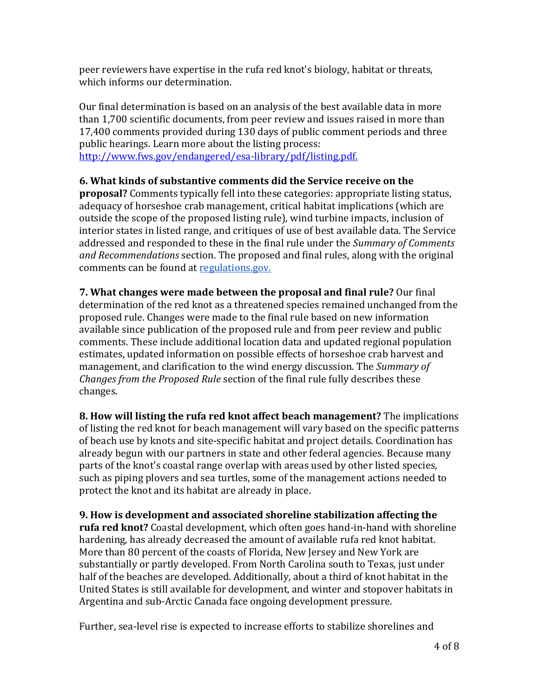peer reviewers have expertise in the rufa red knot's biology, habitat or threats, which informs our determination.

Our final determination is based on an analysis of the best available data in more than 1,700 scientific documents, from peer review and issues raised in more than 17,400 comments provided during 130 days of public comment periods and three public hearings. Learn more about the listing process:

[http://www.fws.gov/endangered/esa-library/pdf/listing.pdf.](http://www.fws.gov/endangered/esa-library/pdf/listing.pdf)

## **6. What kinds of substantive comments did the Service receive on the**

**proposal?** Comments typically fell into these categories: appropriate listing status, adequacy of horseshoe crab management, critical habitat implications (which are outside the scope of the proposed listing rule), wind turbine impacts, inclusion of interior states in listed range, and critiques of use of best available data. The Service addressed and responded to these in the final rule under the *Summary of Comments and Recommendations* section. The proposed and final rules, along with the original comments can be found at [regulations.gov.](http://www.regulations.gov/)

**7. What changes were made between the proposal and final rule?** Our final determination of the red knot as a threatened species remained unchanged from the proposed rule. Changes were made to the final rule based on new information available since publication of the proposed rule and from peer review and public comments. These include additional location data and updated regional population estimates, updated information on possible effects of horseshoe crab harvest and management, and clarification to the wind energy discussion. The *Summary of Changes from the Proposed Rule* section of the final rule fully describes these changes.

**8. How will listing the rufa red knot affect beach management?** The implications of listing the red knot for beach management will vary based on the specific patterns of beach use by knots and site-specific habitat and project details. Coordination has already begun with our partners in state and other federal agencies. Because many parts of the knot's coastal range overlap with areas used by other listed species, such as piping plovers and sea turtles, some of the management actions needed to protect the knot and its habitat are already in place.

**9. How is development and associated shoreline stabilization affecting the rufa red knot?** Coastal development, which often goes hand-in-hand with shoreline hardening, has already decreased the amount of available rufa red knot habitat. More than 80 percent of the coasts of Florida, New Jersey and New York are substantially or partly developed. From North Carolina south to Texas, just under half of the beaches are developed. Additionally, about a third of knot habitat in the United States is still available for development, and winter and stopover habitats in Argentina and sub-Arctic Canada face ongoing development pressure.

Further, sea-level rise is expected to increase efforts to stabilize shorelines and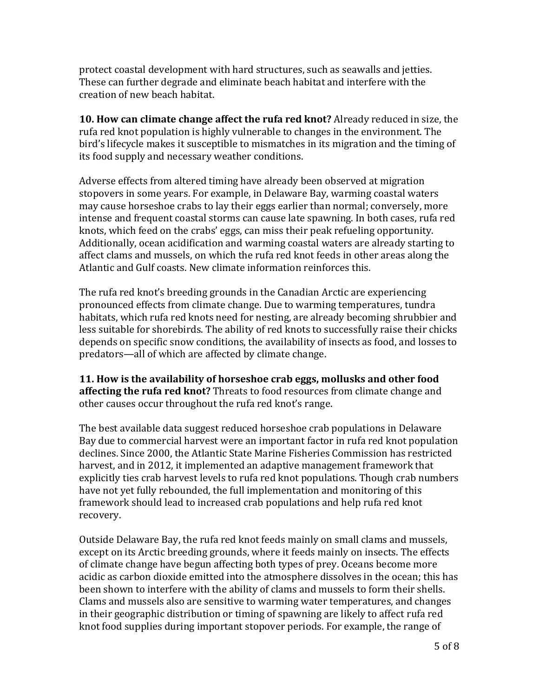protect coastal development with hard structures, such as seawalls and jetties. These can further degrade and eliminate beach habitat and interfere with the creation of new beach habitat.

**10. How can climate change affect the rufa red knot?** Already reduced in size, the rufa red knot population is highly vulnerable to changes in the environment. The bird's lifecycle makes it susceptible to mismatches in its migration and the timing of its food supply and necessary weather conditions.

Adverse effects from altered timing have already been observed at migration stopovers in some years. For example, in Delaware Bay, warming coastal waters may cause horseshoe crabs to lay their eggs earlier than normal; conversely, more intense and frequent coastal storms can cause late spawning. In both cases, rufa red knots, which feed on the crabs' eggs, can miss their peak refueling opportunity. Additionally, ocean acidification and warming coastal waters are already starting to affect clams and mussels, on which the rufa red knot feeds in other areas along the Atlantic and Gulf coasts. New climate information reinforces this.

The rufa red knot's breeding grounds in the Canadian Arctic are experiencing pronounced effects from climate change. Due to warming temperatures, tundra habitats, which rufa red knots need for nesting, are already becoming shrubbier and less suitable for shorebirds. The ability of red knots to successfully raise their chicks depends on specific snow conditions, the availability of insects as food, and losses to predators—all of which are affected by climate change.

**11. How is the availability of horseshoe crab eggs, mollusks and other food affecting the rufa red knot?** Threats to food resources from climate change and other causes occur throughout the rufa red knot's range.

The best available data suggest reduced horseshoe crab populations in Delaware Bay due to commercial harvest were an important factor in rufa red knot population declines. Since 2000, the Atlantic State Marine Fisheries Commission has restricted harvest, and in 2012, it implemented an adaptive management framework that explicitly ties crab harvest levels to rufa red knot populations. Though crab numbers have not yet fully rebounded, the full implementation and monitoring of this framework should lead to increased crab populations and help rufa red knot recovery.

Outside Delaware Bay, the rufa red knot feeds mainly on small clams and mussels, except on its Arctic breeding grounds, where it feeds mainly on insects. The effects of climate change have begun affecting both types of prey. Oceans become more acidic as carbon dioxide emitted into the atmosphere dissolves in the ocean; this has been shown to interfere with the ability of clams and mussels to form their shells. Clams and mussels also are sensitive to warming water temperatures, and changes in their geographic distribution or timing of spawning are likely to affect rufa red knot food supplies during important stopover periods. For example, the range of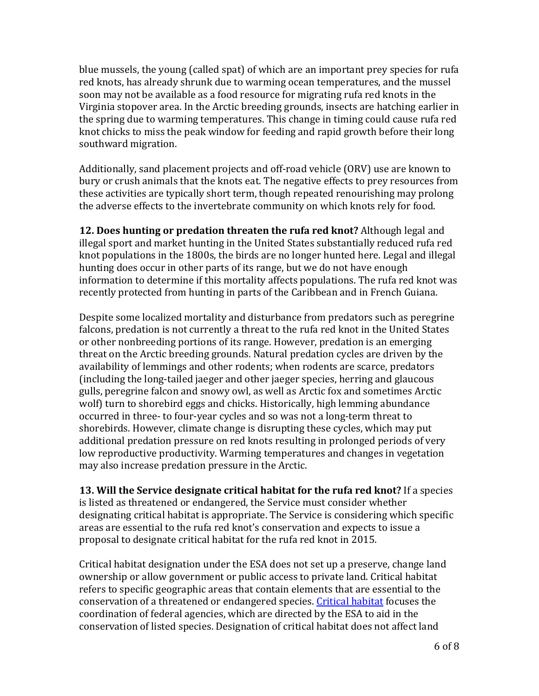blue mussels, the young (called spat) of which are an important prey species for rufa red knots, has already shrunk due to warming ocean temperatures, and the mussel soon may not be available as a food resource for migrating rufa red knots in the Virginia stopover area. In the Arctic breeding grounds, insects are hatching earlier in the spring due to warming temperatures. This change in timing could cause rufa red knot chicks to miss the peak window for feeding and rapid growth before their long southward migration.

Additionally, sand placement projects and off-road vehicle (ORV) use are known to bury or crush animals that the knots eat. The negative effects to prey resources from these activities are typically short term, though repeated renourishing may prolong the adverse effects to the invertebrate community on which knots rely for food.

**12. Does hunting or predation threaten the rufa red knot?** Although legal and illegal sport and market hunting in the United States substantially reduced rufa red knot populations in the 1800s, the birds are no longer hunted here. Legal and illegal hunting does occur in other parts of its range, but we do not have enough information to determine if this mortality affects populations. The rufa red knot was recently protected from hunting in parts of the Caribbean and in French Guiana.

Despite some localized mortality and disturbance from predators such as peregrine falcons, predation is not currently a threat to the rufa red knot in the United States or other nonbreeding portions of its range. However, predation is an emerging threat on the Arctic breeding grounds. Natural predation cycles are driven by the availability of lemmings and other rodents; when rodents are scarce, predators (including the long-tailed jaeger and other jaeger species, herring and glaucous gulls, peregrine falcon and snowy owl, as well as Arctic fox and sometimes Arctic wolf) turn to shorebird eggs and chicks. Historically, high lemming abundance occurred in three- to four-year cycles and so was not a long-term threat to shorebirds. However, climate change is disrupting these cycles, which may put additional predation pressure on red knots resulting in prolonged periods of very low reproductive productivity. Warming temperatures and changes in vegetation may also increase predation pressure in the Arctic.

**13. Will the Service designate critical habitat for the rufa red knot?** If a species is listed as threatened or endangered, the Service must consider whether designating critical habitat is appropriate. The Service is considering which specific areas are essential to the rufa red knot's conservation and expects to issue a proposal to designate critical habitat for the rufa red knot in 2015.

Critical habitat designation under the ESA does not set up a preserve, change land ownership or allow government or public access to private land. Critical habitat refers to specific geographic areas that contain elements that are essential to the conservation of a threatened or endangered species. [Critical habitat](https://www.fws.gov/midwest/Endangered/saving/CriticalHabitatFactSheet.html) focuses the coordination of federal agencies, which are directed by the ESA to aid in the conservation of listed species. Designation of critical habitat does not affect land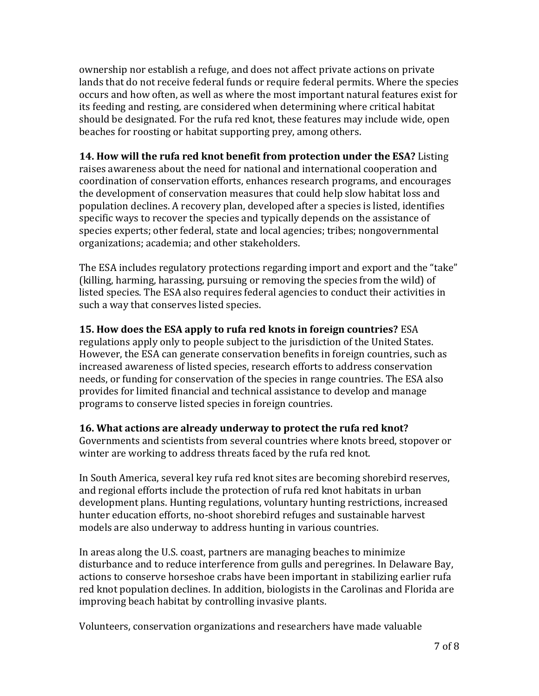ownership nor establish a refuge, and does not affect private actions on private lands that do not receive federal funds or require federal permits. Where the species occurs and how often, as well as where the most important natural features exist for its feeding and resting, are considered when determining where critical habitat should be designated. For the rufa red knot, these features may include wide, open beaches for roosting or habitat supporting prey, among others.

**14. How will the rufa red knot benefit from protection under the ESA?** Listing raises awareness about the need for national and international cooperation and coordination of conservation efforts, enhances research programs, and encourages the development of conservation measures that could help slow habitat loss and population declines. A recovery plan, developed after a species is listed, identifies specific ways to recover the species and typically depends on the assistance of species experts; other federal, state and local agencies; tribes; nongovernmental organizations; academia; and other stakeholders.

The ESA includes regulatory protections regarding import and export and the "take" (killing, harming, harassing, pursuing or removing the species from the wild) of listed species. The ESA also requires federal agencies to conduct their activities in such a way that conserves listed species.

### **15. How does the ESA apply to rufa red knots in foreign countries?** ESA

regulations apply only to people subject to the jurisdiction of the United States. However, the ESA can generate conservation benefits in foreign countries, such as increased awareness of listed species, research efforts to address conservation needs, or funding for conservation of the species in range countries. The ESA also provides for limited financial and technical assistance to develop and manage programs to conserve listed species in foreign countries.

#### **16. What actions are already underway to protect the rufa red knot?**

Governments and scientists from several countries where knots breed, stopover or winter are working to address threats faced by the rufa red knot.

In South America, several key rufa red knot sites are becoming shorebird reserves, and regional efforts include the protection of rufa red knot habitats in urban development plans. Hunting regulations, voluntary hunting restrictions, increased hunter education efforts, no-shoot shorebird refuges and sustainable harvest models are also underway to address hunting in various countries.

In areas along the U.S. coast, partners are managing beaches to minimize disturbance and to reduce interference from gulls and peregrines. In Delaware Bay, actions to conserve horseshoe crabs have been important in stabilizing earlier rufa red knot population declines. In addition, biologists in the Carolinas and Florida are improving beach habitat by controlling invasive plants.

Volunteers, conservation organizations and researchers have made valuable